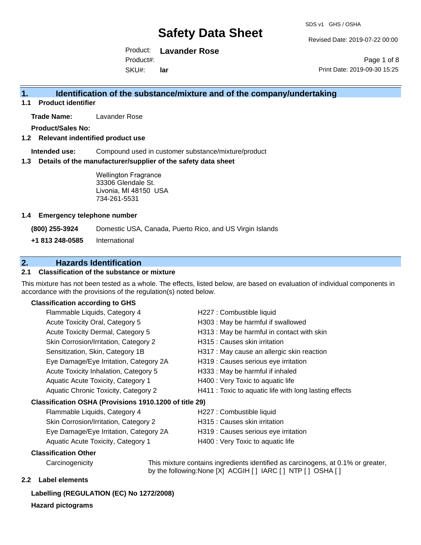Revised Date: 2019-07-22 00:00

Product: **Lavander Rose** Product#:

SKU#: **lar**

Page 1 of 8 Print Date: 2019-09-30 15:25

### **1. Identification of the substance/mixture and of the company/undertaking**

**1.1 Product identifier**

**Trade Name:** Lavander Rose

**Product/Sales No:**

**1.2 Relevant indentified product use**

**Intended use:** Compound used in customer substance/mixture/product

**1.3 Details of the manufacturer/supplier of the safety data sheet**

Wellington Fragrance 33306 Glendale St. Livonia, MI 48150 USA 734-261-5531

#### **1.4 Emergency telephone number**

**(800) 255-3924** Domestic USA, Canada, Puerto Rico, and US Virgin Islands

**+1 813 248-0585** International

### **2. Hazards Identification**

#### **2.1 Classification of the substance or mixture**

This mixture has not been tested as a whole. The effects, listed below, are based on evaluation of individual components in accordance with the provisions of the regulation(s) noted below.

#### **Classification according to GHS**

| Flammable Liquids, Category 4                       | H227 : Combustible liquid                              |  |
|-----------------------------------------------------|--------------------------------------------------------|--|
| Acute Toxicity Oral, Category 5                     | H303 : May be harmful if swallowed                     |  |
| Acute Toxicity Dermal, Category 5                   | H313 : May be harmful in contact with skin             |  |
| Skin Corrosion/Irritation, Category 2               | H315 : Causes skin irritation                          |  |
| Sensitization, Skin, Category 1B                    | H317 : May cause an allergic skin reaction             |  |
| Eye Damage/Eye Irritation, Category 2A              | H319 : Causes serious eye irritation                   |  |
| Acute Toxicity Inhalation, Category 5               | H333: May be harmful if inhaled                        |  |
| Aquatic Acute Toxicity, Category 1                  | H400 : Very Toxic to aquatic life                      |  |
| Aquatic Chronic Toxicity, Category 2                | H411 : Toxic to aquatic life with long lasting effects |  |
| ssification OSHA (Provisions 1910.1200 of title 29) |                                                        |  |
| Flammable Liquids, Category 4                       | H227 : Combustible liquid                              |  |
|                                                     |                                                        |  |

#### **Classification OSHA (Provisions 1910.1200 of title 29)**

| Flammable Liquids, Category 4             | H227 : Combustible liquid            |
|-------------------------------------------|--------------------------------------|
| Skin Corrosion/Irritation, Category 2     | H315 : Causes skin irritation        |
| Eye Damage/Eye Irritation, Category 2A    | H319 : Causes serious eye irritation |
| <b>Aquatic Acute Toxicity, Category 1</b> | H400 : Very Toxic to aquatic life    |

#### **Classification Other**

Carcinogenicity This mixture contains ingredients identified as carcinogens, at 0.1% or greater, by the following:None [X] ACGIH [ ] IARC [ ] NTP [ ] OSHA [ ]

#### **2.2 Label elements**

### **Labelling (REGULATION (EC) No 1272/2008)**

**Hazard pictograms**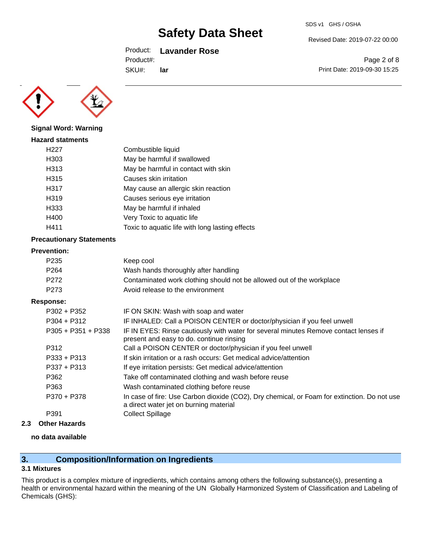#### Product: **Lavander Rose**

Product#:

SKU#: **lar**

Revised Date: 2019-07-22 00:00

Page 2 of 8 Print Date: 2019-09-30 15:25



**Signal Word: Warning**

| <b>Hazard statments</b> |                                                 |
|-------------------------|-------------------------------------------------|
| H227                    | Combustible liquid                              |
| H303                    | May be harmful if swallowed                     |
| H313                    | May be harmful in contact with skin             |
| H315                    | Causes skin irritation                          |
| H317                    | May cause an allergic skin reaction             |
| H319                    | Causes serious eye irritation                   |
| H333                    | May be harmful if inhaled                       |
| H400                    | Very Toxic to aquatic life                      |
| H411                    | Toxic to aquatic life with long lasting effects |
|                         |                                                 |

#### **Precautionary Statements**

#### **Prevention:**

| P <sub>235</sub>   | Keep cool                                                                            |  |
|--------------------|--------------------------------------------------------------------------------------|--|
| P <sub>264</sub>   | Wash hands thoroughly after handling                                                 |  |
| P272               | Contaminated work clothing should not be allowed out of the workplace                |  |
| P <sub>273</sub>   | Avoid release to the environment                                                     |  |
| Response:          |                                                                                      |  |
| $P302 + P352$      | IF ON SKIN: Wash with soap and water                                                 |  |
| $P304 + P312$      | IF INHALED: Call a POISON CENTER or doctor/physician if you feel unwell              |  |
| P305 + P351 + P338 | IF IN EYES: Rinse cautiously with water for several minutes Remove contact lenses if |  |
|                    |                                                                                      |  |

|               | present and easy to do. continue rinsing                                                                                              |
|---------------|---------------------------------------------------------------------------------------------------------------------------------------|
| P312          | Call a POISON CENTER or doctor/physician if you feel unwell                                                                           |
| $P333 + P313$ | If skin irritation or a rash occurs: Get medical advice/attention                                                                     |
| $P337 + P313$ | If eye irritation persists: Get medical advice/attention                                                                              |
| P362          | Take off contaminated clothing and wash before reuse                                                                                  |
| P363          | Wash contaminated clothing before reuse                                                                                               |
| P370 + P378   | In case of fire: Use Carbon dioxide (CO2), Dry chemical, or Foam for extinction. Do not use<br>a direct water jet on burning material |
| P391          | Collect Spillage                                                                                                                      |

**2.3 Other Hazards**

#### **no data available**

## **3. Composition/Information on Ingredients**

#### **3.1 Mixtures**

This product is a complex mixture of ingredients, which contains among others the following substance(s), presenting a health or environmental hazard within the meaning of the UN Globally Harmonized System of Classification and Labeling of Chemicals (GHS):

SDS v1 GHS / OSHA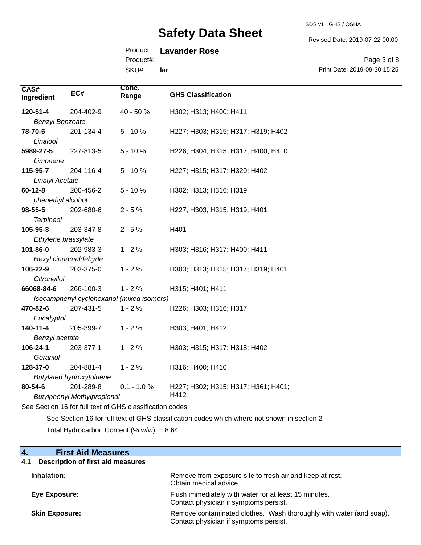SDS v1 GHS / OSHA

Revised Date: 2019-07-22 00:00

Print Date: 2019-09-30 15:25

Page 3 of 8

## Product: **Lavander Rose**

Product#:

SKU#: **lar**

| CAS#<br>Ingredient                                       | EC#                             | Conc.<br>Range | <b>GHS Classification</b>           |
|----------------------------------------------------------|---------------------------------|----------------|-------------------------------------|
| 120-51-4                                                 | 204-402-9                       | 40 - 50 %      | H302; H313; H400; H411              |
| <b>Benzyl Benzoate</b>                                   |                                 |                |                                     |
| 78-70-6<br>Linalool                                      | 201-134-4                       | $5 - 10%$      | H227; H303; H315; H317; H319; H402  |
| 5989-27-5<br>Limonene                                    | 227-813-5                       | $5 - 10%$      | H226; H304; H315; H317; H400; H410  |
| 115-95-7                                                 | 204-116-4                       | $5 - 10%$      | H227; H315; H317; H320; H402        |
| <b>Linalyl Acetate</b>                                   |                                 |                |                                     |
| $60 - 12 - 8$                                            | 200-456-2                       | $5 - 10%$      | H302; H313; H316; H319              |
| phenethyl alcohol                                        |                                 |                |                                     |
| 98-55-5                                                  | 202-680-6                       | $2 - 5%$       | H227; H303; H315; H319; H401        |
| <b>Terpineol</b>                                         |                                 |                |                                     |
| 105-95-3                                                 | 203-347-8                       | $2 - 5%$       | H401                                |
| Ethylene brassylate                                      |                                 |                |                                     |
| 101-86-0                                                 | 202-983-3                       | $1 - 2%$       | H303; H316; H317; H400; H411        |
|                                                          | Hexyl cinnamaldehyde            |                |                                     |
| 106-22-9                                                 | 203-375-0                       | $1 - 2%$       | H303; H313; H315; H317; H319; H401  |
| Citronellol                                              |                                 |                |                                     |
| 66068-84-6                                               | 266-100-3                       | $1 - 2%$       | H315; H401; H411                    |
| Isocamphenyl cyclohexanol (mixed isomers)                |                                 |                |                                     |
| 470-82-6                                                 | 207-431-5                       | $1 - 2%$       | H226; H303; H316; H317              |
| Eucalyptol                                               |                                 |                |                                     |
| 140-11-4                                                 | 205-399-7                       | $1 - 2%$       | H303; H401; H412                    |
| Benzyl acetate                                           |                                 |                |                                     |
| 106-24-1                                                 | 203-377-1                       | $1 - 2%$       | H303; H315; H317; H318; H402        |
| Geraniol                                                 |                                 |                |                                     |
| 128-37-0                                                 | 204-881-4                       | $1 - 2%$       | H316; H400; H410                    |
|                                                          | <b>Butylated hydroxytoluene</b> |                |                                     |
| 80-54-6                                                  | 201-289-8                       | $0.1 - 1.0 %$  | H227; H302; H315; H317; H361; H401; |
| H412<br><b>Butylphenyl Methylpropional</b>               |                                 |                |                                     |
| See Section 16 for full text of GHS classification codes |                                 |                |                                     |

See Section 16 for full text of GHS classification codes which where not shown in section 2 Total Hydrocarbon Content (%  $w/w$ ) = 8.64

| 4.<br><b>First Aid Measures</b>                 |                                                                                                               |
|-------------------------------------------------|---------------------------------------------------------------------------------------------------------------|
| <b>Description of first aid measures</b><br>4.1 |                                                                                                               |
| Inhalation:                                     | Remove from exposure site to fresh air and keep at rest.<br>Obtain medical advice.                            |
| <b>Eye Exposure:</b>                            | Flush immediately with water for at least 15 minutes.<br>Contact physician if symptoms persist.               |
| <b>Skin Exposure:</b>                           | Remove contaminated clothes. Wash thoroughly with water (and soap).<br>Contact physician if symptoms persist. |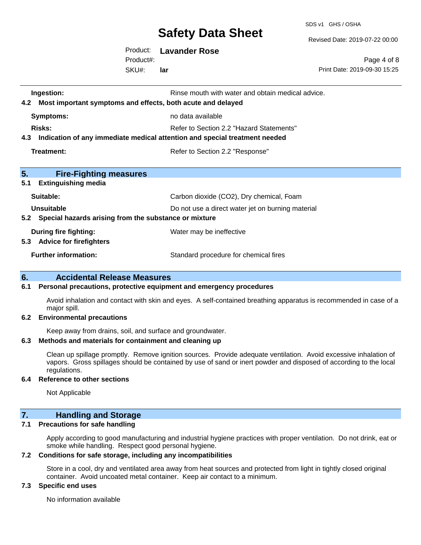SDS v1 GHS / OSHA

Revised Date: 2019-07-22 00:00

Product: **Lavander Rose** SKU#: Product#: **lar**

Page 4 of 8 Print Date: 2019-09-30 15:25

| Rinse mouth with water and obtain medical advice.<br>Ingestion:<br>Most important symptoms and effects, both acute and delayed<br>4.2 |                                                   |  |
|---------------------------------------------------------------------------------------------------------------------------------------|---------------------------------------------------|--|
| Symptoms:                                                                                                                             | no data available                                 |  |
| <b>Risks:</b>                                                                                                                         | Refer to Section 2.2 "Hazard Statements"          |  |
| Indication of any immediate medical attention and special treatment needed<br>4.3                                                     |                                                   |  |
| Treatment:<br>Refer to Section 2.2 "Response"                                                                                         |                                                   |  |
|                                                                                                                                       |                                                   |  |
| 5.<br><b>Fire-Fighting measures</b>                                                                                                   |                                                   |  |
| 5.1<br><b>Extinguishing media</b>                                                                                                     |                                                   |  |
| Suitable:                                                                                                                             | Carbon dioxide (CO2), Dry chemical, Foam          |  |
| Unsuitable                                                                                                                            | Do not use a direct water jet on burning material |  |
| Special hazards arising from the substance or mixture<br>5.2                                                                          |                                                   |  |
| During fire fighting:                                                                                                                 | Water may be ineffective                          |  |
| 5.3<br><b>Advice for firefighters</b>                                                                                                 |                                                   |  |
| <b>Further information:</b>                                                                                                           | Standard procedure for chemical fires             |  |

#### **6. Accidental Release Measures**

#### **6.1 Personal precautions, protective equipment and emergency procedures**

Avoid inhalation and contact with skin and eyes. A self-contained breathing apparatus is recommended in case of a major spill.

#### **6.2 Environmental precautions**

Keep away from drains, soil, and surface and groundwater.

#### **6.3 Methods and materials for containment and cleaning up**

Clean up spillage promptly. Remove ignition sources. Provide adequate ventilation. Avoid excessive inhalation of vapors. Gross spillages should be contained by use of sand or inert powder and disposed of according to the local regulations.

#### **6.4 Reference to other sections**

Not Applicable

### **7. Handling and Storage**

#### **7.1 Precautions for safe handling**

Apply according to good manufacturing and industrial hygiene practices with proper ventilation. Do not drink, eat or smoke while handling. Respect good personal hygiene.

#### **7.2 Conditions for safe storage, including any incompatibilities**

Store in a cool, dry and ventilated area away from heat sources and protected from light in tightly closed original container. Avoid uncoated metal container. Keep air contact to a minimum.

#### **7.3 Specific end uses**

No information available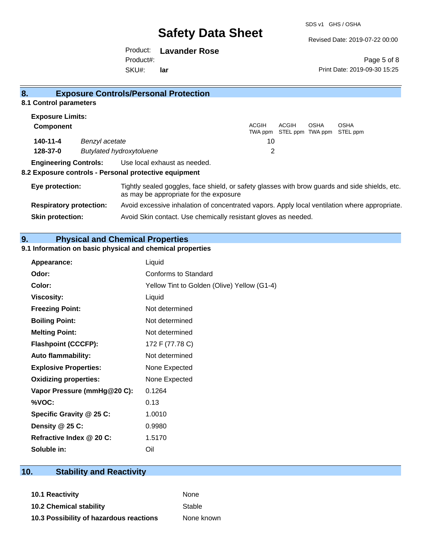Revised Date: 2019-07-22 00:00

Product: **Lavander Rose** SKU#: Product#: **lar**

Page 5 of 8 Print Date: 2019-09-30 15:25

#### **8.1 Control parameters Exposure Limits: Component** ACGIH TWA ppm STEL ppm TWA ppm STEL ppm ACGIH OSHA OSHA **140-11-4** *Benzyl acetate* 10 **128-37-0** *Butylated hydroxytoluene* 2 **Engineering Controls:** Use local exhaust as needed. **8.2 Exposure controls - Personal protective equipment**

## **Eye protection:** Tightly sealed goggles, face shield, or safety glasses with brow guards and side shields, etc. as may be appropriate for the exposure **Respiratory protection:** Avoid excessive inhalation of concentrated vapors. Apply local ventilation where appropriate. **Skin protection:** Avoid Skin contact. Use chemically resistant gloves as needed.

### **9. Physical and Chemical Properties**

#### **9.1 Information on basic physical and chemical properties**

**8. Exposure Controls/Personal Protection** 

| Appearance:                  | Liquid                                      |
|------------------------------|---------------------------------------------|
| Odor:                        | Conforms to Standard                        |
| Color:                       | Yellow Tint to Golden (Olive) Yellow (G1-4) |
| <b>Viscosity:</b>            | Liquid                                      |
| <b>Freezing Point:</b>       | Not determined                              |
| <b>Boiling Point:</b>        | Not determined                              |
| <b>Melting Point:</b>        | Not determined                              |
| <b>Flashpoint (CCCFP):</b>   | 172 F (77.78 C)                             |
| <b>Auto flammability:</b>    | Not determined                              |
| <b>Explosive Properties:</b> | None Expected                               |
| <b>Oxidizing properties:</b> | None Expected                               |
| Vapor Pressure (mmHg@20 C):  | 0.1264                                      |
| %VOC:                        | 0.13                                        |
| Specific Gravity @ 25 C:     | 1.0010                                      |
| Density @ 25 C:              | 0.9980                                      |
| Refractive Index @ 20 C:     | 1.5170                                      |
| Soluble in:                  | Oil                                         |

### **10. Stability and Reactivity**

**10.1 Reactivity** None **10.2 Chemical stability** Stable **10.3 Possibility of hazardous reactions** None known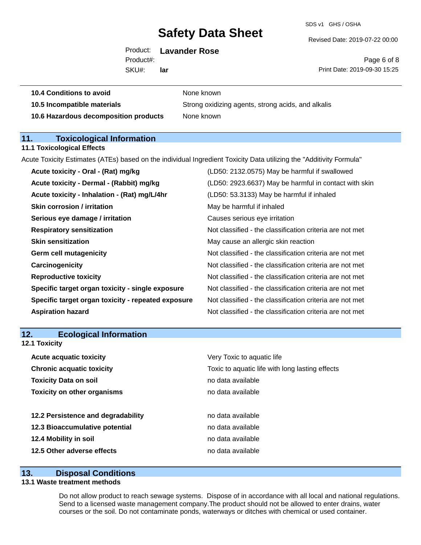**None known** 

SDS v1 GHS / OSHA

Revised Date: 2019-07-22 00:00

SKU#: Product#: **lar**

Page 6 of 8 Print Date: 2019-09-30 15:25

| <b>10.4 Conditions to avoid</b> |  |  |
|---------------------------------|--|--|
|                                 |  |  |

**10.5 Incompatible materials** Strong oxidizing agents, strong acids, and alkalis **10.6 Hazardous decomposition products** None known

**11. Toxicological Information** 

#### **11.1 Toxicological Effects**

Acute Toxicity Estimates (ATEs) based on the individual Ingredient Toxicity Data utilizing the "Additivity Formula"

| Acute toxicity - Oral - (Rat) mg/kg                | (LD50: 2132.0575) May be harmful if swallowed            |
|----------------------------------------------------|----------------------------------------------------------|
| Acute toxicity - Dermal - (Rabbit) mg/kg           | (LD50: 2923.6637) May be harmful in contact with skin    |
| Acute toxicity - Inhalation - (Rat) mg/L/4hr       | (LD50: 53.3133) May be harmful if inhaled                |
| <b>Skin corrosion / irritation</b>                 | May be harmful if inhaled                                |
| Serious eye damage / irritation                    | Causes serious eye irritation                            |
| <b>Respiratory sensitization</b>                   | Not classified - the classification criteria are not met |
| <b>Skin sensitization</b>                          | May cause an allergic skin reaction                      |
| <b>Germ cell mutagenicity</b>                      | Not classified - the classification criteria are not met |
| Carcinogenicity                                    | Not classified - the classification criteria are not met |
| <b>Reproductive toxicity</b>                       | Not classified - the classification criteria are not met |
| Specific target organ toxicity - single exposure   | Not classified - the classification criteria are not met |
| Specific target organ toxicity - repeated exposure | Not classified - the classification criteria are not met |
| <b>Aspiration hazard</b>                           | Not classified - the classification criteria are not met |
|                                                    |                                                          |

| 12. | <b>Ecological Information</b> |
|-----|-------------------------------|
|-----|-------------------------------|

**12.1 Toxicity**

| <b>Acute acquatic toxicity</b>     | Very Toxic to aquatic life                      |
|------------------------------------|-------------------------------------------------|
| <b>Chronic acquatic toxicity</b>   | Toxic to aquatic life with long lasting effects |
| <b>Toxicity Data on soil</b>       | no data available                               |
| <b>Toxicity on other organisms</b> | no data available                               |
|                                    |                                                 |
| 12.2 Persistence and degradability | no data available                               |
| 12.3 Bioaccumulative potential     | no data available                               |
| 12.4 Mobility in soil              | no data available                               |
| 12.5 Other adverse effects         | no data available                               |

#### **13. Disposal Conditions**

#### **13.1 Waste treatment methods**

Do not allow product to reach sewage systems. Dispose of in accordance with all local and national regulations. Send to a licensed waste management company.The product should not be allowed to enter drains, water courses or the soil. Do not contaminate ponds, waterways or ditches with chemical or used container.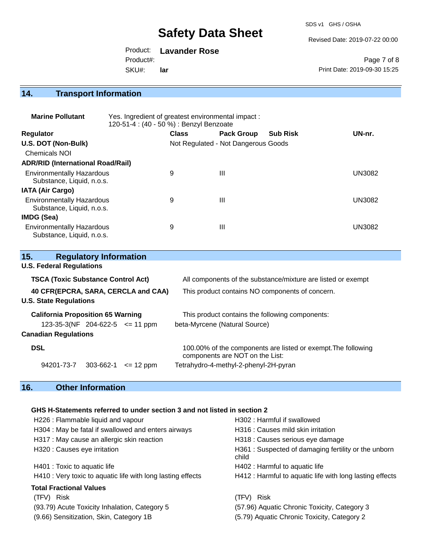SDS v1 GHS / OSHA

Revised Date: 2019-07-22 00:00

Product: **Lavander Rose** Product#:

SKU#: **lar**

Page 7 of 8 Print Date: 2019-09-30 15:25

## **14. Transport Information**

| <b>Marine Pollutant</b>                                       | Yes. Ingredient of greatest environmental impact:<br>120-51-4 : (40 - 50 %) : Benzyl Benzoate |              |                                     |                 |               |
|---------------------------------------------------------------|-----------------------------------------------------------------------------------------------|--------------|-------------------------------------|-----------------|---------------|
| <b>Regulator</b>                                              |                                                                                               | <b>Class</b> | <b>Pack Group</b>                   | <b>Sub Risk</b> | UN-nr.        |
| U.S. DOT (Non-Bulk)                                           |                                                                                               |              | Not Regulated - Not Dangerous Goods |                 |               |
| Chemicals NOI                                                 |                                                                                               |              |                                     |                 |               |
| <b>ADR/RID (International Road/Rail)</b>                      |                                                                                               |              |                                     |                 |               |
| <b>Environmentally Hazardous</b><br>Substance, Liquid, n.o.s. |                                                                                               | 9            | $\mathbf{III}$                      |                 | <b>UN3082</b> |
| <b>IATA (Air Cargo)</b>                                       |                                                                                               |              |                                     |                 |               |
| <b>Environmentally Hazardous</b><br>Substance, Liquid, n.o.s. |                                                                                               | 9            | $\mathbf{III}$                      |                 | <b>UN3082</b> |
| IMDG (Sea)                                                    |                                                                                               |              |                                     |                 |               |
| <b>Environmentally Hazardous</b><br>Substance, Liquid, n.o.s. |                                                                                               | 9            | Ш                                   |                 | <b>UN3082</b> |

| 15.<br><b>Regulatory Information</b>      |                                                                                                  |  |
|-------------------------------------------|--------------------------------------------------------------------------------------------------|--|
| <b>U.S. Federal Regulations</b>           |                                                                                                  |  |
| <b>TSCA (Toxic Substance Control Act)</b> | All components of the substance/mixture are listed or exempt                                     |  |
| 40 CFR(EPCRA, SARA, CERCLA and CAA)       | This product contains NO components of concern.                                                  |  |
| <b>U.S. State Regulations</b>             |                                                                                                  |  |
| <b>California Proposition 65 Warning</b>  | This product contains the following components:                                                  |  |
| $123-35-3(NF)$ 204-622-5 $\leq$ 11 ppm    | beta-Myrcene (Natural Source)                                                                    |  |
| <b>Canadian Regulations</b>               |                                                                                                  |  |
| <b>DSL</b>                                | 100.00% of the components are listed or exempt. The following<br>components are NOT on the List: |  |
| 94201-73-7<br>303-662-1<br>$\leq$ 12 ppm  | Tetrahydro-4-methyl-2-phenyl-2H-pyran                                                            |  |

## **16. Other Information**

#### **GHS H-Statements referred to under section 3 and not listed in section 2**

| H226 : Flammable liquid and vapour                          | H302: Harmful if swallowed                                   |
|-------------------------------------------------------------|--------------------------------------------------------------|
| H304 : May be fatal if swallowed and enters airways         | H316 : Causes mild skin irritation                           |
| H317 : May cause an allergic skin reaction                  | H318 : Causes serious eye damage                             |
| H320 : Causes eye irritation                                | H361: Suspected of damaging fertility or the unborn<br>child |
| H401 : Toxic to aquatic life                                | H402 : Harmful to aquatic life                               |
| H410 : Very toxic to aquatic life with long lasting effects | H412 : Harmful to aquatic life with long lasting effects     |
| <b>Total Fractional Values</b>                              |                                                              |
| Risk<br>(TFV)                                               | <b>Risk</b><br>(TFV)                                         |
| (93.79) Acute Toxicity Inhalation, Category 5               | (57.96) Aquatic Chronic Toxicity, Category 3                 |
| (9.66) Sensitization, Skin, Category 1B                     | (5.79) Aquatic Chronic Toxicity, Category 2                  |
|                                                             |                                                              |